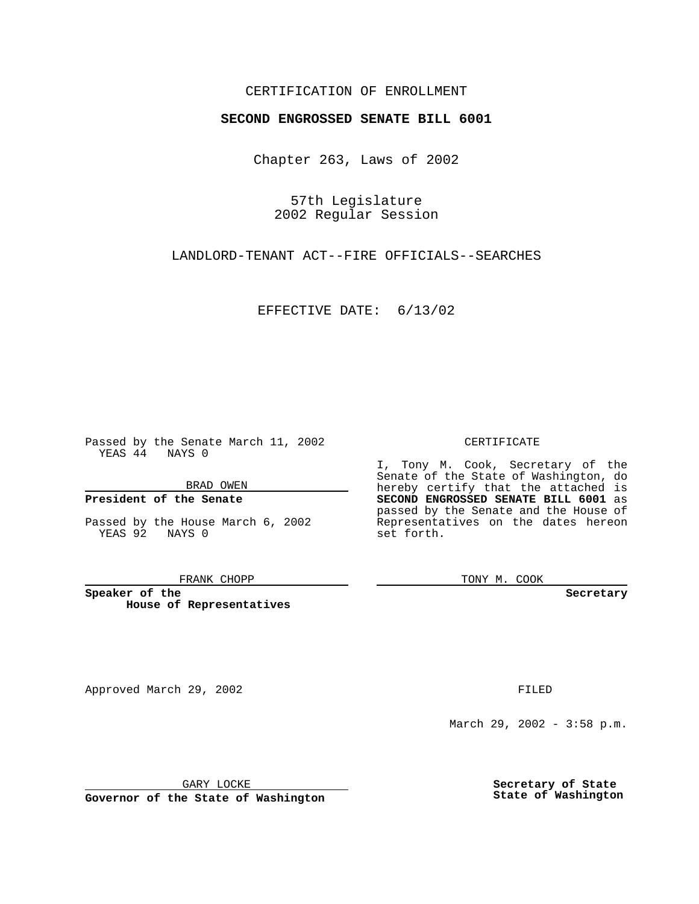## CERTIFICATION OF ENROLLMENT

# **SECOND ENGROSSED SENATE BILL 6001**

Chapter 263, Laws of 2002

57th Legislature 2002 Regular Session

LANDLORD-TENANT ACT--FIRE OFFICIALS--SEARCHES

EFFECTIVE DATE: 6/13/02

Passed by the Senate March 11, 2002 YEAS 44 NAYS 0

BRAD OWEN

### **President of the Senate**

Passed by the House March 6, 2002 YEAS 92 NAYS 0

#### FRANK CHOPP

**Speaker of the House of Representatives**

Approved March 29, 2002 **FILED** 

### CERTIFICATE

I, Tony M. Cook, Secretary of the Senate of the State of Washington, do hereby certify that the attached is **SECOND ENGROSSED SENATE BILL 6001** as passed by the Senate and the House of Representatives on the dates hereon set forth.

TONY M. COOK

**Secretary**

March 29, 2002 - 3:58 p.m.

GARY LOCKE

**Governor of the State of Washington**

**Secretary of State State of Washington**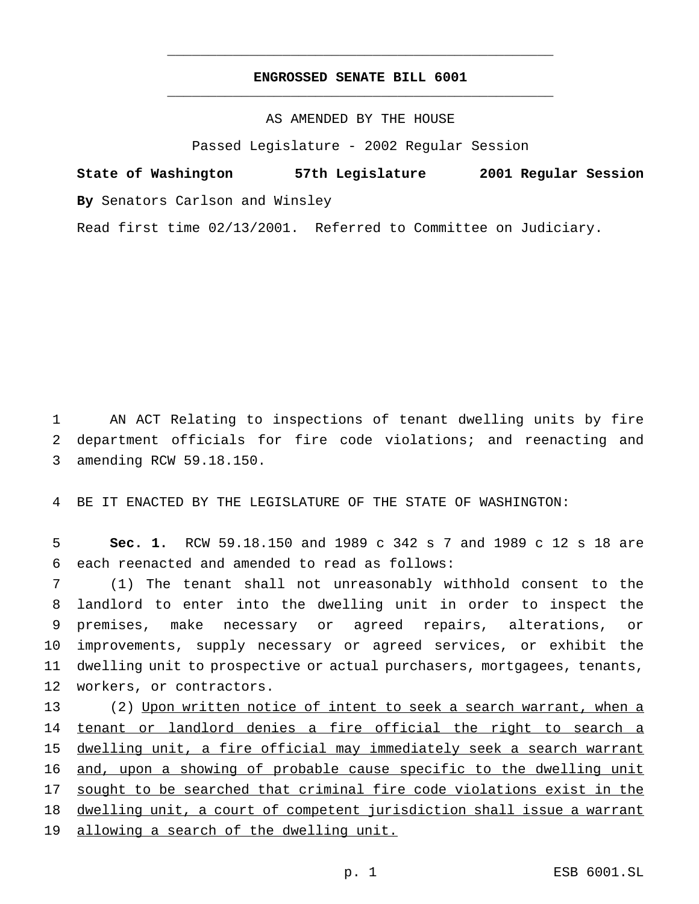## **ENGROSSED SENATE BILL 6001** \_\_\_\_\_\_\_\_\_\_\_\_\_\_\_\_\_\_\_\_\_\_\_\_\_\_\_\_\_\_\_\_\_\_\_\_\_\_\_\_\_\_\_\_\_\_\_

\_\_\_\_\_\_\_\_\_\_\_\_\_\_\_\_\_\_\_\_\_\_\_\_\_\_\_\_\_\_\_\_\_\_\_\_\_\_\_\_\_\_\_\_\_\_\_

AS AMENDED BY THE HOUSE

Passed Legislature - 2002 Regular Session

**State of Washington 57th Legislature 2001 Regular Session By** Senators Carlson and Winsley

Read first time 02/13/2001. Referred to Committee on Judiciary.

1 AN ACT Relating to inspections of tenant dwelling units by fire 2 department officials for fire code violations; and reenacting and 3 amending RCW 59.18.150.

4 BE IT ENACTED BY THE LEGISLATURE OF THE STATE OF WASHINGTON:

5 **Sec. 1.** RCW 59.18.150 and 1989 c 342 s 7 and 1989 c 12 s 18 are 6 each reenacted and amended to read as follows:

 (1) The tenant shall not unreasonably withhold consent to the landlord to enter into the dwelling unit in order to inspect the premises, make necessary or agreed repairs, alterations, or improvements, supply necessary or agreed services, or exhibit the dwelling unit to prospective or actual purchasers, mortgagees, tenants, workers, or contractors.

13 (2) Upon written notice of intent to seek a search warrant, when a 14 tenant or landlord denies a fire official the right to search a 15 dwelling unit, a fire official may immediately seek a search warrant 16 and, upon a showing of probable cause specific to the dwelling unit 17 sought to be searched that criminal fire code violations exist in the 18 dwelling unit, a court of competent jurisdiction shall issue a warrant 19 allowing a search of the dwelling unit.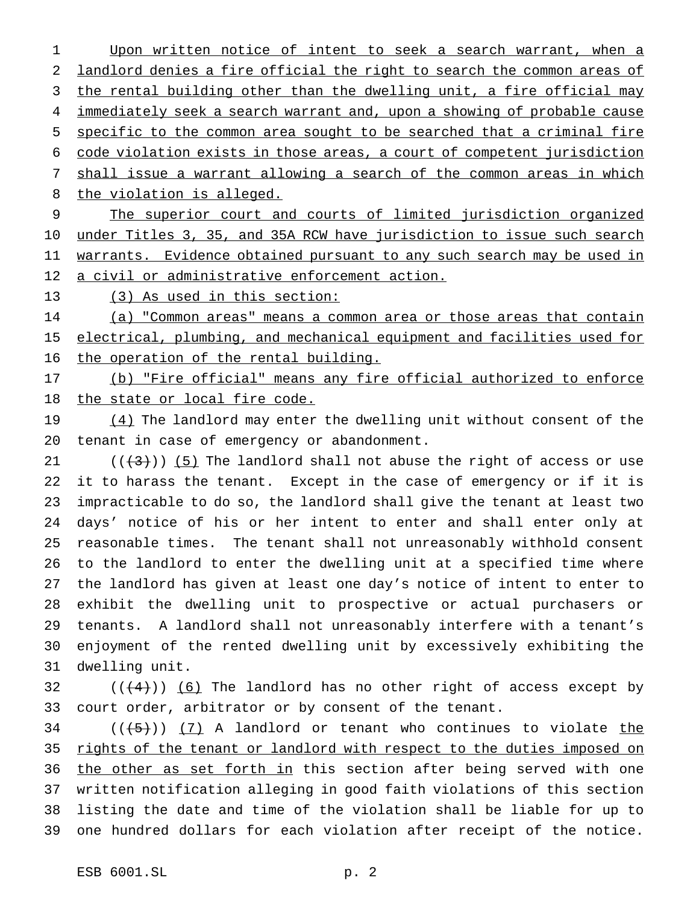1 Upon written notice of intent to seek a search warrant, when a landlord denies a fire official the right to search the common areas of 3 the rental building other than the dwelling unit, a fire official may 4 immediately seek a search warrant and, upon a showing of probable cause specific to the common area sought to be searched that a criminal fire code violation exists in those areas, a court of competent jurisdiction shall issue a warrant allowing a search of the common areas in which 8 the violation is alleged. The superior court and courts of limited jurisdiction organized

10 under Titles 3, 35, and 35A RCW have jurisdiction to issue such search 11 warrants. Evidence obtained pursuant to any such search may be used in a civil or administrative enforcement action.

(3) As used in this section:

 (a) "Common areas" means a common area or those areas that contain electrical, plumbing, and mechanical equipment and facilities used for the operation of the rental building.

 (b) "Fire official" means any fire official authorized to enforce 18 the state or local fire code.

19 (4) The landlord may enter the dwelling unit without consent of the tenant in case of emergency or abandonment.

 $((+3))$  (5) The landlord shall not abuse the right of access or use it to harass the tenant. Except in the case of emergency or if it is impracticable to do so, the landlord shall give the tenant at least two days' notice of his or her intent to enter and shall enter only at reasonable times. The tenant shall not unreasonably withhold consent to the landlord to enter the dwelling unit at a specified time where the landlord has given at least one day's notice of intent to enter to exhibit the dwelling unit to prospective or actual purchasers or tenants. A landlord shall not unreasonably interfere with a tenant's enjoyment of the rented dwelling unit by excessively exhibiting the dwelling unit.

32  $((+4))$   $(6)$  The landlord has no other right of access except by court order, arbitrator or by consent of the tenant.

 (( $(5)$ )) (7) A landlord or tenant who continues to violate the 35 rights of the tenant or landlord with respect to the duties imposed on 36 the other as set forth in this section after being served with one written notification alleging in good faith violations of this section listing the date and time of the violation shall be liable for up to one hundred dollars for each violation after receipt of the notice.